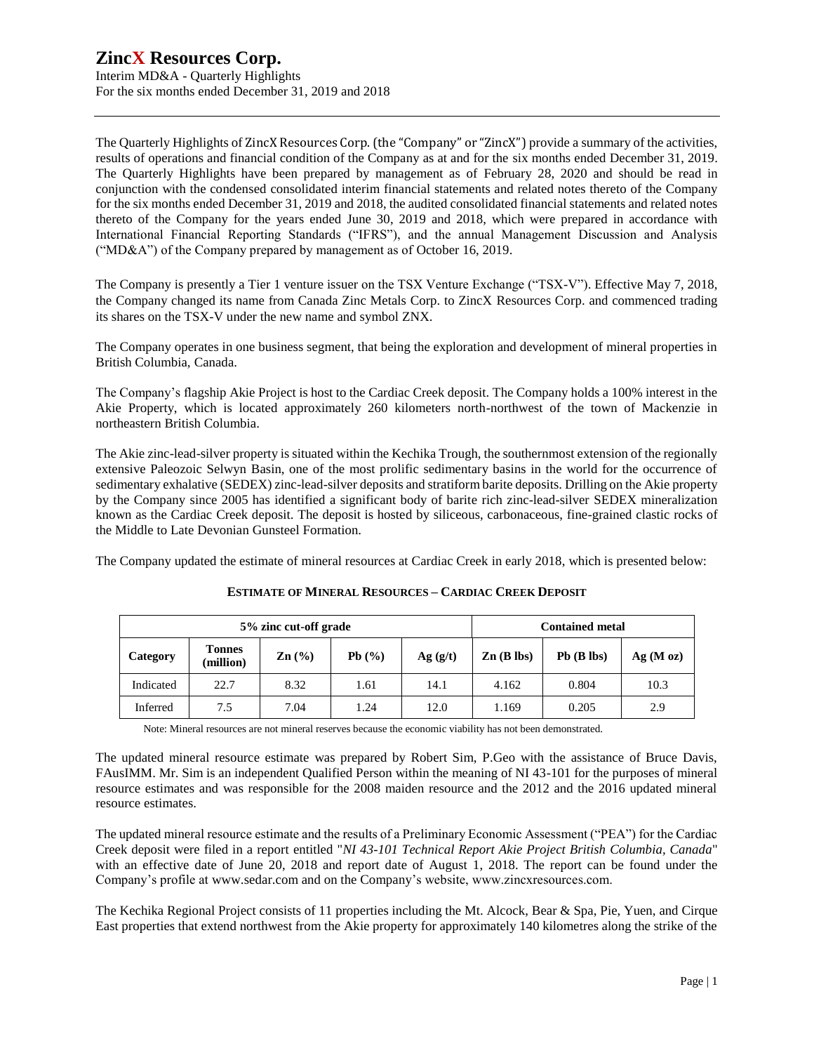Interim MD&A - Quarterly Highlights For the six months ended December 31, 2019 and 2018

The Quarterly Highlights of ZincX Resources Corp. (the "Company" or "ZincX") provide a summary of the activities, results of operations and financial condition of the Company as at and for the six months ended December 31, 2019. The Quarterly Highlights have been prepared by management as of February 28, 2020 and should be read in conjunction with the condensed consolidated interim financial statements and related notes thereto of the Company for the six months ended December 31, 2019 and 2018, the audited consolidated financial statements and related notes thereto of the Company for the years ended June 30, 2019 and 2018, which were prepared in accordance with International Financial Reporting Standards ("IFRS"), and the annual Management Discussion and Analysis ("MD&A") of the Company prepared by management as of October 16, 2019.

The Company is presently a Tier 1 venture issuer on the TSX Venture Exchange ("TSX-V"). Effective May 7, 2018, the Company changed its name from Canada Zinc Metals Corp. to ZincX Resources Corp. and commenced trading its shares on the TSX-V under the new name and symbol ZNX.

The Company operates in one business segment, that being the exploration and development of mineral properties in British Columbia, Canada.

The Company's flagship Akie Project is host to the Cardiac Creek deposit. The Company holds a 100% interest in the Akie Property, which is located approximately 260 kilometers north-northwest of the town of Mackenzie in northeastern British Columbia.

The Akie zinc-lead-silver property is situated within the Kechika Trough, the southernmost extension of the regionally extensive Paleozoic Selwyn Basin, one of the most prolific sedimentary basins in the world for the occurrence of sedimentary exhalative (SEDEX) zinc-lead-silver deposits and stratiform barite deposits. Drilling on the Akie property by the Company since 2005 has identified a significant body of barite rich zinc-lead-silver SEDEX mineralization known as the Cardiac Creek deposit. The deposit is hosted by siliceous, carbonaceous, fine-grained clastic rocks of the Middle to Late Devonian Gunsteel Formation.

The Company updated the estimate of mineral resources at Cardiac Creek in early 2018, which is presented below:

| 5% zinc cut-off grade |                            |                   |       |         | <b>Contained metal</b> |              |          |  |
|-----------------------|----------------------------|-------------------|-------|---------|------------------------|--------------|----------|--|
| Category              | <b>Tonnes</b><br>(million) | $\mathbf{Zn}$ (%) | Pb(%) | Ag(g/t) | $\mathbf{Zn}$ (B lbs)  | $Pb$ (B lbs) | Ag(M oz) |  |
| Indicated             | 22.7                       | 8.32              | 1.61  | 14.1    | 4.162                  | 0.804        | 10.3     |  |
| Inferred              | 7.5                        | 7.04              | 1.24  | 12.0    | 1.169                  | 0.205        | 2.9      |  |

#### **ESTIMATE OF MINERAL RESOURCES – CARDIAC CREEK DEPOSIT**

Note: Mineral resources are not mineral reserves because the economic viability has not been demonstrated.

The updated mineral resource estimate was prepared by Robert Sim, P.Geo with the assistance of Bruce Davis, FAusIMM. Mr. Sim is an independent Qualified Person within the meaning of NI 43-101 for the purposes of mineral resource estimates and was responsible for the 2008 maiden resource and the 2012 and the 2016 updated mineral resource estimates.

The updated mineral resource estimate and the results of a Preliminary Economic Assessment ("PEA") for the Cardiac Creek deposit were filed in a report entitled "*NI 43-101 Technical Report Akie Project British Columbia, Canada*" with an effective date of June 20, 2018 and report date of August 1, 2018. The report can be found under the Company's profile at [www.sedar.com](http://www.sedar.com/) and on the Company's website, www.zincxresources.com.

The Kechika Regional Project consists of 11 properties including the Mt. Alcock, Bear & Spa, Pie, Yuen, and Cirque East properties that extend northwest from the Akie property for approximately 140 kilometres along the strike of the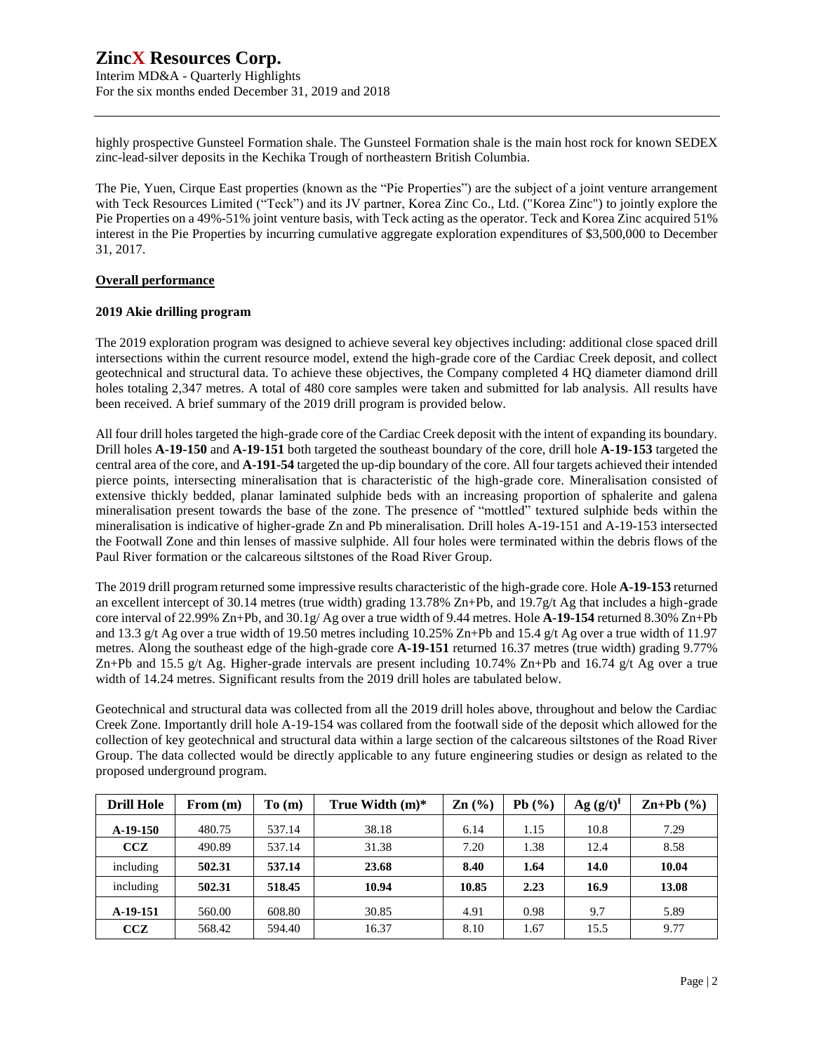Interim MD&A - Quarterly Highlights For the six months ended December 31, 2019 and 2018

highly prospective Gunsteel Formation shale. The Gunsteel Formation shale is the main host rock for known SEDEX zinc-lead-silver deposits in the Kechika Trough of northeastern British Columbia.

The Pie, Yuen, Cirque East properties (known as the "Pie Properties") are the subject of a joint venture arrangement with Teck Resources Limited ("Teck") and its JV partner, Korea Zinc Co., Ltd. ("Korea Zinc") to jointly explore the Pie Properties on a 49%-51% joint venture basis, with Teck acting as the operator. Teck and Korea Zinc acquired 51% interest in the Pie Properties by incurring cumulative aggregate exploration expenditures of \$3,500,000 to December 31, 2017.

#### **Overall performance**

#### **2019 Akie drilling program**

The 2019 exploration program was designed to achieve several key objectives including: additional close spaced drill intersections within the current resource model, extend the high-grade core of the Cardiac Creek deposit, and collect geotechnical and structural data. To achieve these objectives, the Company completed 4 HQ diameter diamond drill holes totaling 2,347 metres. A total of 480 core samples were taken and submitted for lab analysis. All results have been received. A brief summary of the 2019 drill program is provided below.

All four drill holes targeted the high-grade core of the Cardiac Creek deposit with the intent of expanding its boundary. Drill holes **A-19-150** and **A-19-151** both targeted the southeast boundary of the core, drill hole **A-19-153** targeted the central area of the core, and **A-191-54** targeted the up-dip boundary of the core. All four targets achieved their intended pierce points, intersecting mineralisation that is characteristic of the high-grade core. Mineralisation consisted of extensive thickly bedded, planar laminated sulphide beds with an increasing proportion of sphalerite and galena mineralisation present towards the base of the zone. The presence of "mottled" textured sulphide beds within the mineralisation is indicative of higher-grade Zn and Pb mineralisation. Drill holes A-19-151 and A-19-153 intersected the Footwall Zone and thin lenses of massive sulphide. All four holes were terminated within the debris flows of the Paul River formation or the calcareous siltstones of the Road River Group.

The 2019 drill program returned some impressive results characteristic of the high-grade core. Hole **A-19-153** returned an excellent intercept of 30.14 metres (true width) grading 13.78% Zn+Pb, and 19.7g/t Ag that includes a high-grade core interval of 22.99% Zn+Pb, and 30.1g/ Ag over a true width of 9.44 metres. Hole **A-19-154** returned 8.30% Zn+Pb and 13.3 g/t Ag over a true width of 19.50 metres including 10.25% Zn+Pb and 15.4 g/t Ag over a true width of 11.97 metres. Along the southeast edge of the high-grade core **A-19-151** returned 16.37 metres (true width) grading 9.77% Zn+Pb and 15.5 g/t Ag. Higher-grade intervals are present including 10.74% Zn+Pb and 16.74 g/t Ag over a true width of 14.24 metres. Significant results from the 2019 drill holes are tabulated below.

Geotechnical and structural data was collected from all the 2019 drill holes above, throughout and below the Cardiac Creek Zone. Importantly drill hole A-19-154 was collared from the footwall side of the deposit which allowed for the collection of key geotechnical and structural data within a large section of the calcareous siltstones of the Road River Group. The data collected would be directly applicable to any future engineering studies or design as related to the proposed underground program.

| <b>Drill Hole</b> | From $(m)$ | To(m)  | True Width $(m)^*$ | $\text{Zn}$ (%) | Pb(%) | $Ag (g/t)^{f}$ | $\mathbf{Zn+Pb}$ (%) |
|-------------------|------------|--------|--------------------|-----------------|-------|----------------|----------------------|
| $A-19-150$        | 480.75     | 537.14 | 38.18              | 6.14            | 1.15  | 10.8           | 7.29                 |
| CCZ               | 490.89     | 537.14 | 31.38              | 7.20            | 1.38  | 12.4           | 8.58                 |
| including         | 502.31     | 537.14 | 23.68              | 8.40            | 1.64  | 14.0           | 10.04                |
| including         | 502.31     | 518.45 | 10.94              | 10.85           | 2.23  | 16.9           | 13.08                |
| A-19-151          | 560.00     | 608.80 | 30.85              | 4.91            | 0.98  | 9.7            | 5.89                 |
| CCZ               | 568.42     | 594.40 | 16.37              | 8.10            | 1.67  | 15.5           | 9.77                 |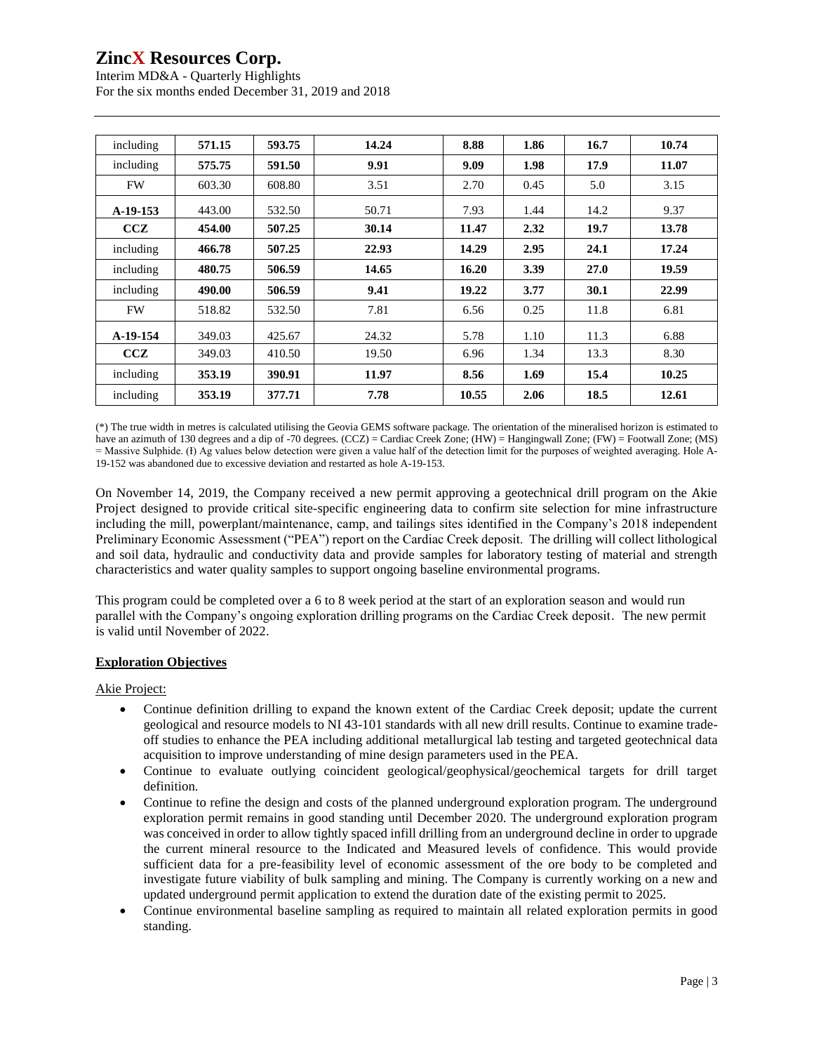Interim MD&A - Quarterly Highlights For the six months ended December 31, 2019 and 2018

| including  | 571.15 | 593.75 | 14.24 | 8.88  | 1.86 | 16.7 | 10.74 |
|------------|--------|--------|-------|-------|------|------|-------|
| including  | 575.75 | 591.50 | 9.91  | 9.09  | 1.98 | 17.9 | 11.07 |
| <b>FW</b>  | 603.30 | 608.80 | 3.51  | 2.70  | 0.45 | 5.0  | 3.15  |
| $A-19-153$ | 443.00 | 532.50 | 50.71 | 7.93  | 1.44 | 14.2 | 9.37  |
| CCZ        | 454.00 | 507.25 | 30.14 | 11.47 | 2.32 | 19.7 | 13.78 |
| including  | 466.78 | 507.25 | 22.93 | 14.29 | 2.95 | 24.1 | 17.24 |
| including  | 480.75 | 506.59 | 14.65 | 16.20 | 3.39 | 27.0 | 19.59 |
| including  | 490.00 | 506.59 | 9.41  | 19.22 | 3.77 | 30.1 | 22.99 |
| <b>FW</b>  | 518.82 | 532.50 | 7.81  | 6.56  | 0.25 | 11.8 | 6.81  |
| A-19-154   | 349.03 | 425.67 | 24.32 | 5.78  | 1.10 | 11.3 | 6.88  |
| <b>CCZ</b> | 349.03 | 410.50 | 19.50 | 6.96  | 1.34 | 13.3 | 8.30  |
| including  | 353.19 | 390.91 | 11.97 | 8.56  | 1.69 | 15.4 | 10.25 |
| including  | 353.19 | 377.71 | 7.78  | 10.55 | 2.06 | 18.5 | 12.61 |

(\*) The true width in metres is calculated utilising the Geovia GEMS software package. The orientation of the mineralised horizon is estimated to have an azimuth of 130 degrees and a dip of -70 degrees. (CCZ) = Cardiac Creek Zone; (HW) = Hangingwall Zone; (FW) = Footwall Zone; (MS) = Massive Sulphide. (I) Ag values below detection were given a value half of the detection limit for the purposes of weighted averaging. Hole A-19-152 was abandoned due to excessive deviation and restarted as hole A-19-153.

On November 14, 2019, the Company received a new permit approving a geotechnical drill program on the Akie Project designed to provide critical site-specific engineering data to confirm site selection for mine infrastructure including the mill, powerplant/maintenance, camp, and tailings sites identified in the Company's 2018 independent Preliminary Economic Assessment ("PEA") report on the Cardiac Creek deposit. The drilling will collect lithological and soil data, hydraulic and conductivity data and provide samples for laboratory testing of material and strength characteristics and water quality samples to support ongoing baseline environmental programs.

This program could be completed over a 6 to 8 week period at the start of an exploration season and would run parallel with the Company's ongoing exploration drilling programs on the Cardiac Creek deposit. The new permit is valid until November of 2022.

#### **Exploration Objectives**

Akie Project:

- Continue definition drilling to expand the known extent of the Cardiac Creek deposit; update the current geological and resource models to NI 43-101 standards with all new drill results. Continue to examine tradeoff studies to enhance the PEA including additional metallurgical lab testing and targeted geotechnical data acquisition to improve understanding of mine design parameters used in the PEA.
- Continue to evaluate outlying coincident geological/geophysical/geochemical targets for drill target definition.
- Continue to refine the design and costs of the planned underground exploration program. The underground exploration permit remains in good standing until December 2020. The underground exploration program was conceived in order to allow tightly spaced infill drilling from an underground decline in order to upgrade the current mineral resource to the Indicated and Measured levels of confidence. This would provide sufficient data for a pre-feasibility level of economic assessment of the ore body to be completed and investigate future viability of bulk sampling and mining. The Company is currently working on a new and updated underground permit application to extend the duration date of the existing permit to 2025.
- Continue environmental baseline sampling as required to maintain all related exploration permits in good standing.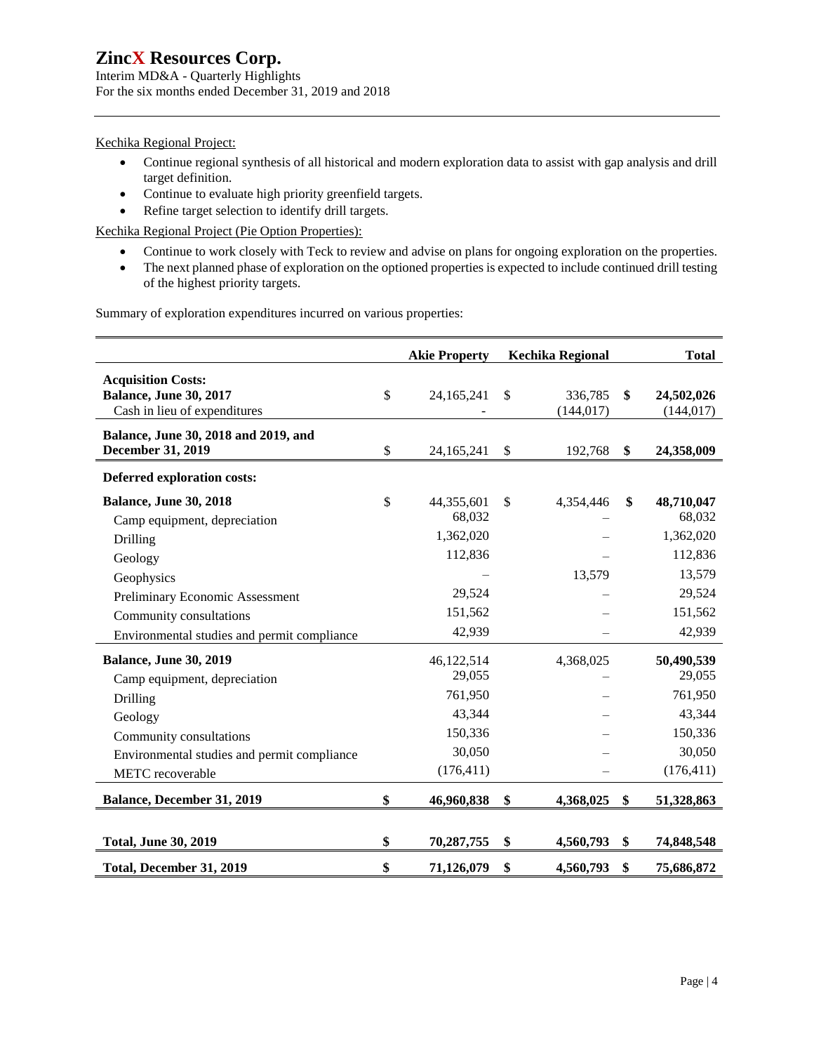Interim MD&A - Quarterly Highlights For the six months ended December 31, 2019 and 2018

#### Kechika Regional Project:

- Continue regional synthesis of all historical and modern exploration data to assist with gap analysis and drill target definition.
- Continue to evaluate high priority greenfield targets.
- Refine target selection to identify drill targets.

Kechika Regional Project (Pie Option Properties):

- Continue to work closely with Teck to review and advise on plans for ongoing exploration on the properties.
- The next planned phase of exploration on the optioned properties is expected to include continued drill testing of the highest priority targets.

Summary of exploration expenditures incurred on various properties:

|                                                                                                                                                                                                                 |               | <b>Akie Property</b>                                                         |              | <b>Kechika Regional</b> |               | <b>Total</b>                                                                          |
|-----------------------------------------------------------------------------------------------------------------------------------------------------------------------------------------------------------------|---------------|------------------------------------------------------------------------------|--------------|-------------------------|---------------|---------------------------------------------------------------------------------------|
| <b>Acquisition Costs:</b><br><b>Balance, June 30, 2017</b><br>Cash in lieu of expenditures                                                                                                                      | $\mathsf{\$}$ | 24, 165, 241                                                                 | $\mathbb{S}$ | 336,785<br>(144, 017)   | $\mathbf{\$}$ | 24,502,026<br>(144, 017)                                                              |
| Balance, June 30, 2018 and 2019, and<br><b>December 31, 2019</b>                                                                                                                                                | \$            | 24, 165, 241                                                                 | \$           | 192,768                 | \$            | 24,358,009                                                                            |
| <b>Deferred exploration costs:</b>                                                                                                                                                                              |               |                                                                              |              |                         |               |                                                                                       |
| <b>Balance, June 30, 2018</b><br>Camp equipment, depreciation<br>Drilling<br>Geology<br>Geophysics<br>Preliminary Economic Assessment<br>Community consultations<br>Environmental studies and permit compliance | $\mathsf{\$}$ | 44,355,601<br>68,032<br>1,362,020<br>112,836<br>29,524<br>151,562<br>42,939  | \$           | 4,354,446<br>13,579     | \$            | 48,710,047<br>68,032<br>1,362,020<br>112,836<br>13,579<br>29,524<br>151,562<br>42,939 |
| <b>Balance, June 30, 2019</b><br>Camp equipment, depreciation<br>Drilling<br>Geology<br>Community consultations<br>Environmental studies and permit compliance<br>METC recoverable                              |               | 46,122,514<br>29,055<br>761,950<br>43,344<br>150,336<br>30,050<br>(176, 411) |              | 4,368,025               |               | 50,490,539<br>29,055<br>761,950<br>43,344<br>150,336<br>30,050<br>(176, 411)          |
| <b>Balance, December 31, 2019</b>                                                                                                                                                                               | \$            | 46,960,838                                                                   | \$           | 4,368,025               | \$            | 51,328,863                                                                            |
| <b>Total, June 30, 2019</b><br>Total, December 31, 2019                                                                                                                                                         | \$<br>\$      | 70,287,755<br>71,126,079                                                     | \$<br>\$     | 4,560,793<br>4,560,793  | \$<br>\$      | 74,848,548<br>75,686,872                                                              |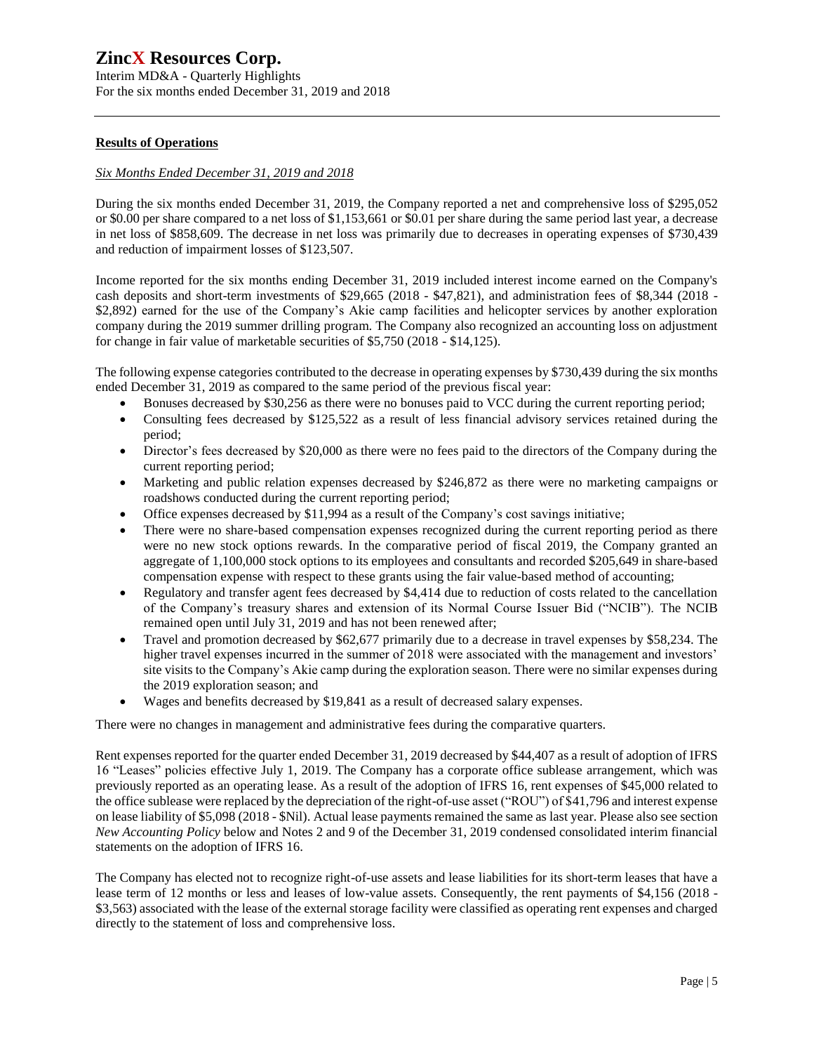Interim MD&A - Quarterly Highlights For the six months ended December 31, 2019 and 2018

#### **Results of Operations**

#### *Six Months Ended December 31, 2019 and 2018*

During the six months ended December 31, 2019, the Company reported a net and comprehensive loss of \$295,052 or \$0.00 per share compared to a net loss of \$1,153,661 or \$0.01 per share during the same period last year, a decrease in net loss of \$858,609. The decrease in net loss was primarily due to decreases in operating expenses of \$730,439 and reduction of impairment losses of \$123,507.

Income reported for the six months ending December 31, 2019 included interest income earned on the Company's cash deposits and short-term investments of \$29,665 (2018 - \$47,821), and administration fees of \$8,344 (2018 - \$2,892) earned for the use of the Company's Akie camp facilities and helicopter services by another exploration company during the 2019 summer drilling program. The Company also recognized an accounting loss on adjustment for change in fair value of marketable securities of \$5,750 (2018 - \$14,125).

The following expense categories contributed to the decrease in operating expenses by \$730,439 during the six months ended December 31, 2019 as compared to the same period of the previous fiscal year:

- Bonuses decreased by \$30,256 as there were no bonuses paid to VCC during the current reporting period;
- Consulting fees decreased by \$125,522 as a result of less financial advisory services retained during the period;
- Director's fees decreased by \$20,000 as there were no fees paid to the directors of the Company during the current reporting period;
- Marketing and public relation expenses decreased by \$246,872 as there were no marketing campaigns or roadshows conducted during the current reporting period;
- Office expenses decreased by \$11,994 as a result of the Company's cost savings initiative;
- There were no share-based compensation expenses recognized during the current reporting period as there were no new stock options rewards. In the comparative period of fiscal 2019, the Company granted an aggregate of 1,100,000 stock options to its employees and consultants and recorded \$205,649 in share-based compensation expense with respect to these grants using the fair value-based method of accounting;
- Regulatory and transfer agent fees decreased by \$4,414 due to reduction of costs related to the cancellation of the Company's treasury shares and extension of its Normal Course Issuer Bid ("NCIB"). The NCIB remained open until July 31, 2019 and has not been renewed after;
- Travel and promotion decreased by \$62,677 primarily due to a decrease in travel expenses by \$58,234. The higher travel expenses incurred in the summer of 2018 were associated with the management and investors' site visits to the Company's Akie camp during the exploration season. There were no similar expenses during the 2019 exploration season; and
- Wages and benefits decreased by \$19,841 as a result of decreased salary expenses.

There were no changes in management and administrative fees during the comparative quarters.

Rent expenses reported for the quarter ended December 31, 2019 decreased by \$44,407 as a result of adoption of IFRS 16 "Leases" policies effective July 1, 2019. The Company has a corporate office sublease arrangement, which was previously reported as an operating lease. As a result of the adoption of IFRS 16, rent expenses of \$45,000 related to the office sublease were replaced by the depreciation of the right-of-use asset ("ROU") of \$41,796 and interest expense on lease liability of \$5,098 (2018 - \$Nil). Actual lease payments remained the same as last year. Please also see section *New Accounting Policy* below and Notes 2 and 9 of the December 31, 2019 condensed consolidated interim financial statements on the adoption of IFRS 16.

The Company has elected not to recognize right-of-use assets and lease liabilities for its short-term leases that have a lease term of 12 months or less and leases of low-value assets. Consequently, the rent payments of \$4,156 (2018 -\$3,563) associated with the lease of the external storage facility were classified as operating rent expenses and charged directly to the statement of loss and comprehensive loss.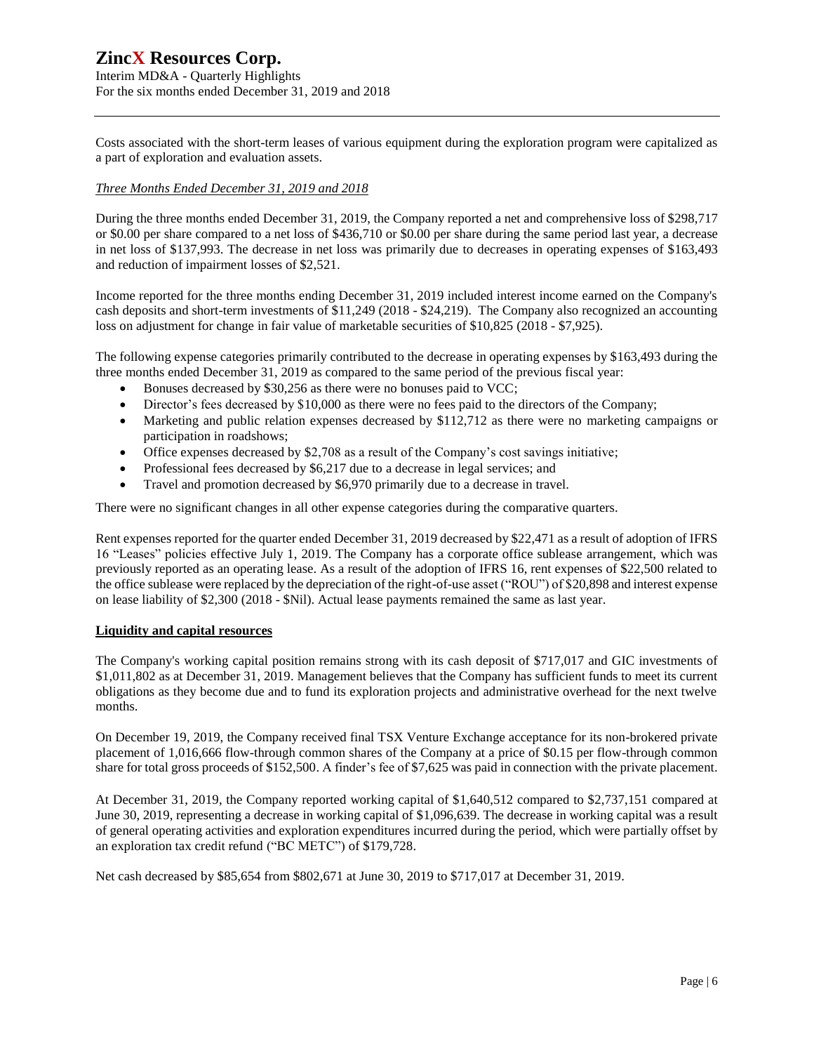Interim MD&A - Quarterly Highlights For the six months ended December 31, 2019 and 2018

Costs associated with the short-term leases of various equipment during the exploration program were capitalized as a part of exploration and evaluation assets.

#### *Three Months Ended December 31, 2019 and 2018*

During the three months ended December 31, 2019, the Company reported a net and comprehensive loss of \$298,717 or \$0.00 per share compared to a net loss of \$436,710 or \$0.00 per share during the same period last year, a decrease in net loss of \$137,993. The decrease in net loss was primarily due to decreases in operating expenses of \$163,493 and reduction of impairment losses of \$2,521.

Income reported for the three months ending December 31, 2019 included interest income earned on the Company's cash deposits and short-term investments of \$11,249 (2018 - \$24,219). The Company also recognized an accounting loss on adjustment for change in fair value of marketable securities of \$10,825 (2018 - \$7,925).

The following expense categories primarily contributed to the decrease in operating expenses by \$163,493 during the three months ended December 31, 2019 as compared to the same period of the previous fiscal year:

- Bonuses decreased by \$30,256 as there were no bonuses paid to VCC;
- Director's fees decreased by \$10,000 as there were no fees paid to the directors of the Company;
- Marketing and public relation expenses decreased by \$112,712 as there were no marketing campaigns or participation in roadshows;
- Office expenses decreased by \$2,708 as a result of the Company's cost savings initiative;
- Professional fees decreased by \$6,217 due to a decrease in legal services; and
- Travel and promotion decreased by \$6,970 primarily due to a decrease in travel.

There were no significant changes in all other expense categories during the comparative quarters.

Rent expenses reported for the quarter ended December 31, 2019 decreased by \$22,471 as a result of adoption of IFRS 16 "Leases" policies effective July 1, 2019. The Company has a corporate office sublease arrangement, which was previously reported as an operating lease. As a result of the adoption of IFRS 16, rent expenses of \$22,500 related to the office sublease were replaced by the depreciation of the right-of-use asset ("ROU") of \$20,898 and interest expense on lease liability of \$2,300 (2018 - \$Nil). Actual lease payments remained the same as last year.

#### **Liquidity and capital resources**

The Company's working capital position remains strong with its cash deposit of \$717,017 and GIC investments of \$1,011,802 as at December 31, 2019. Management believes that the Company has sufficient funds to meet its current obligations as they become due and to fund its exploration projects and administrative overhead for the next twelve months.

On December 19, 2019, the Company received final TSX Venture Exchange acceptance for its non-brokered private placement of 1,016,666 flow-through common shares of the Company at a price of \$0.15 per flow-through common share for total gross proceeds of \$152,500. A finder's fee of \$7,625 was paid in connection with the private placement.

At December 31, 2019, the Company reported working capital of \$1,640,512 compared to \$2,737,151 compared at June 30, 2019, representing a decrease in working capital of \$1,096,639. The decrease in working capital was a result of general operating activities and exploration expenditures incurred during the period, which were partially offset by an exploration tax credit refund ("BC METC") of \$179,728.

Net cash decreased by \$85,654 from \$802,671 at June 30, 2019 to \$717,017 at December 31, 2019.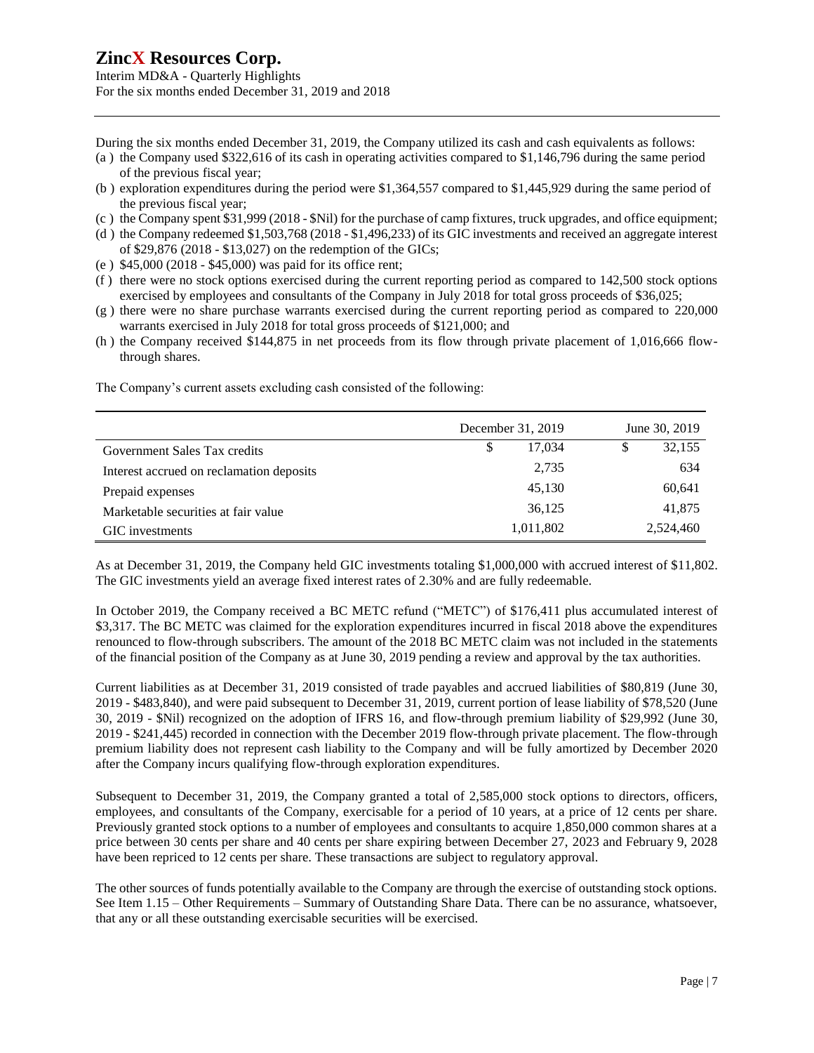Interim MD&A - Quarterly Highlights For the six months ended December 31, 2019 and 2018

During the six months ended December 31, 2019, the Company utilized its cash and cash equivalents as follows:

- (a ) the Company used \$322,616 of its cash in operating activities compared to \$1,146,796 during the same period of the previous fiscal year;
- (b ) exploration expenditures during the period were \$1,364,557 compared to \$1,445,929 during the same period of the previous fiscal year;
- (c ) the Company spent \$31,999 (2018 \$Nil) for the purchase of camp fixtures, truck upgrades, and office equipment;
- (d ) the Company redeemed \$1,503,768 (2018 \$1,496,233) of its GIC investments and received an aggregate interest of \$29,876 (2018 - \$13,027) on the redemption of the GICs;
- (e ) \$45,000 (2018 \$45,000) was paid for its office rent;
- (f ) there were no stock options exercised during the current reporting period as compared to 142,500 stock options exercised by employees and consultants of the Company in July 2018 for total gross proceeds of \$36,025;
- (g ) there were no share purchase warrants exercised during the current reporting period as compared to 220,000 warrants exercised in July 2018 for total gross proceeds of \$121,000; and
- (h ) the Company received \$144,875 in net proceeds from its flow through private placement of 1,016,666 flowthrough shares.

The Company's current assets excluding cash consisted of the following:

|                                          | December 31, 2019 | June 30, 2019 |  |           |
|------------------------------------------|-------------------|---------------|--|-----------|
| Government Sales Tax credits             | \$                | 17.034        |  | 32,155    |
| Interest accrued on reclamation deposits |                   | 2,735         |  | 634       |
| Prepaid expenses                         |                   | 45,130        |  | 60,641    |
| Marketable securities at fair value      |                   | 36,125        |  | 41,875    |
| GIC investments                          |                   | 1,011,802     |  | 2,524,460 |

As at December 31, 2019, the Company held GIC investments totaling \$1,000,000 with accrued interest of \$11,802. The GIC investments yield an average fixed interest rates of 2.30% and are fully redeemable.

In October 2019, the Company received a BC METC refund ("METC") of \$176,411 plus accumulated interest of \$3,317. The BC METC was claimed for the exploration expenditures incurred in fiscal 2018 above the expenditures renounced to flow-through subscribers. The amount of the 2018 BC METC claim was not included in the statements of the financial position of the Company as at June 30, 2019 pending a review and approval by the tax authorities.

Current liabilities as at December 31, 2019 consisted of trade payables and accrued liabilities of \$80,819 (June 30, 2019 - \$483,840), and were paid subsequent to December 31, 2019, current portion of lease liability of \$78,520 (June 30, 2019 - \$Nil) recognized on the adoption of IFRS 16, and flow-through premium liability of \$29,992 (June 30, 2019 - \$241,445) recorded in connection with the December 2019 flow-through private placement. The flow-through premium liability does not represent cash liability to the Company and will be fully amortized by December 2020 after the Company incurs qualifying flow-through exploration expenditures.

Subsequent to December 31, 2019, the Company granted a total of 2,585,000 stock options to directors, officers, employees, and consultants of the Company, exercisable for a period of 10 years, at a price of 12 cents per share. Previously granted stock options to a number of employees and consultants to acquire 1,850,000 common shares at a price between 30 cents per share and 40 cents per share expiring between December 27, 2023 and February 9, 2028 have been repriced to 12 cents per share. These transactions are subject to regulatory approval.

The other sources of funds potentially available to the Company are through the exercise of outstanding stock options. See Item 1.15 – Other Requirements – Summary of Outstanding Share Data. There can be no assurance, whatsoever, that any or all these outstanding exercisable securities will be exercised.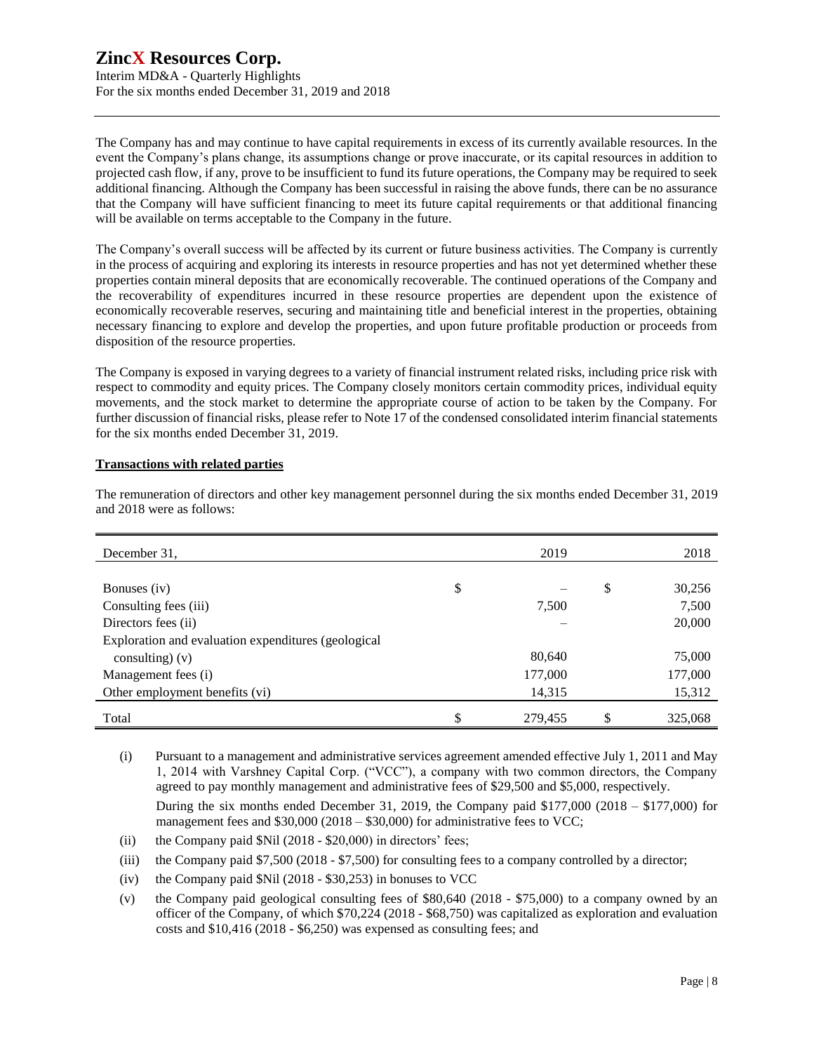Interim MD&A - Quarterly Highlights For the six months ended December 31, 2019 and 2018

The Company has and may continue to have capital requirements in excess of its currently available resources. In the event the Company's plans change, its assumptions change or prove inaccurate, or its capital resources in addition to projected cash flow, if any, prove to be insufficient to fund its future operations, the Company may be required to seek additional financing. Although the Company has been successful in raising the above funds, there can be no assurance that the Company will have sufficient financing to meet its future capital requirements or that additional financing will be available on terms acceptable to the Company in the future.

The Company's overall success will be affected by its current or future business activities. The Company is currently in the process of acquiring and exploring its interests in resource properties and has not yet determined whether these properties contain mineral deposits that are economically recoverable. The continued operations of the Company and the recoverability of expenditures incurred in these resource properties are dependent upon the existence of economically recoverable reserves, securing and maintaining title and beneficial interest in the properties, obtaining necessary financing to explore and develop the properties, and upon future profitable production or proceeds from disposition of the resource properties.

The Company is exposed in varying degrees to a variety of financial instrument related risks, including price risk with respect to commodity and equity prices. The Company closely monitors certain commodity prices, individual equity movements, and the stock market to determine the appropriate course of action to be taken by the Company. For further discussion of financial risks, please refer to Note 17 of the condensed consolidated interim financial statements for the six months ended December 31, 2019.

#### **Transactions with related parties**

|                                                     | 2019          |              |
|-----------------------------------------------------|---------------|--------------|
| December 31,                                        |               | 2018         |
|                                                     |               |              |
| Bonuses (iv)                                        | \$            | \$<br>30,256 |
| Consulting fees (iii)                               | 7,500         | 7,500        |
| Directors fees (ii)                                 |               | 20,000       |
| Exploration and evaluation expenditures (geological |               |              |
| consulting) $(v)$                                   | 80,640        | 75,000       |
| Management fees (i)                                 | 177,000       | 177,000      |
| Other employment benefits (vi)                      | 14,315        | 15,312       |
| Total                                               | \$<br>279,455 | 325,068      |

The remuneration of directors and other key management personnel during the six months ended December 31, 2019 and 2018 were as follows:

(i) Pursuant to a management and administrative services agreement amended effective July 1, 2011 and May 1, 2014 with Varshney Capital Corp. ("VCC"), a company with two common directors, the Company agreed to pay monthly management and administrative fees of \$29,500 and \$5,000, respectively.

During the six months ended December 31, 2019, the Company paid \$177,000 (2018 – \$177,000) for management fees and  $$30,000 (2018 - $30,000)$  for administrative fees to VCC;

- (ii) the Company paid  $Nil$  (2018  $$20,000$ ) in directors' fees;
- (iii) the Company paid \$7,500 (2018 \$7,500) for consulting fees to a company controlled by a director;
- (iv) the Company paid \$Nil (2018 \$30,253) in bonuses to VCC
- (v) the Company paid geological consulting fees of \$80,640 (2018 \$75,000) to a company owned by an officer of the Company, of which \$70,224 (2018 - \$68,750) was capitalized as exploration and evaluation costs and \$10,416 (2018 - \$6,250) was expensed as consulting fees; and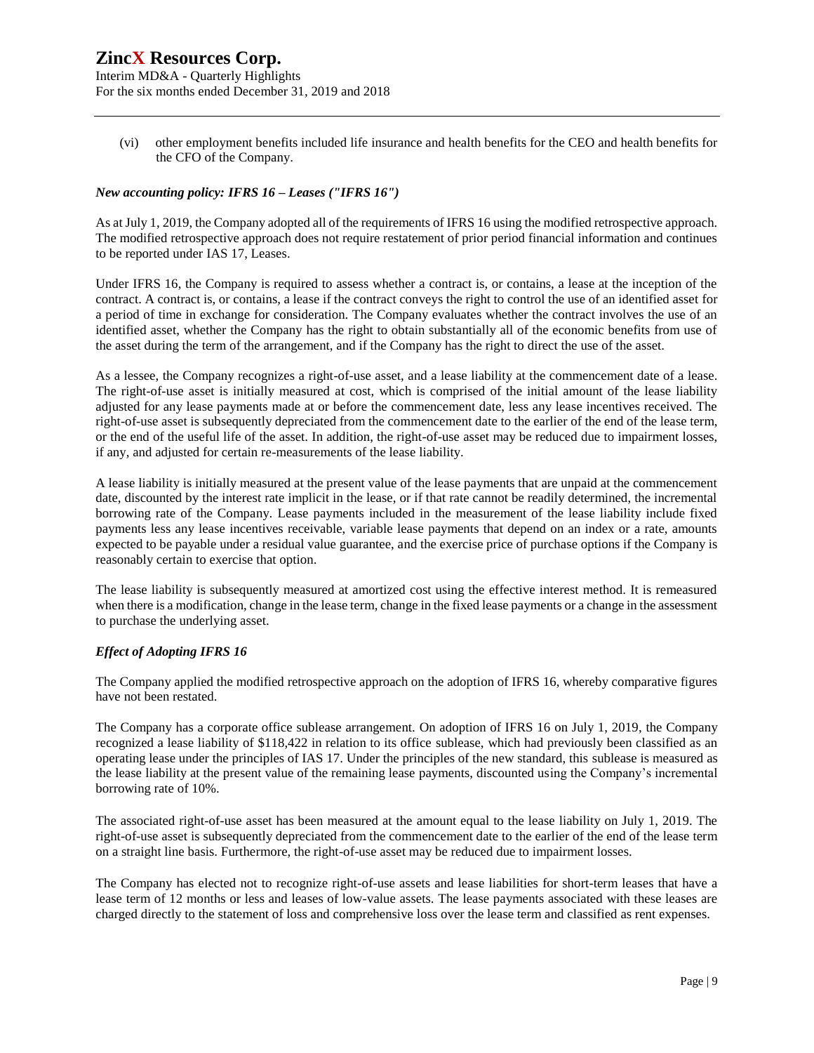Interim MD&A - Quarterly Highlights For the six months ended December 31, 2019 and 2018

(vi) other employment benefits included life insurance and health benefits for the CEO and health benefits for the CFO of the Company.

#### *New accounting policy: IFRS 16 – Leases ("IFRS 16")*

As at July 1, 2019, the Company adopted all of the requirements of IFRS 16 using the modified retrospective approach. The modified retrospective approach does not require restatement of prior period financial information and continues to be reported under IAS 17, Leases.

Under IFRS 16, the Company is required to assess whether a contract is, or contains, a lease at the inception of the contract. A contract is, or contains, a lease if the contract conveys the right to control the use of an identified asset for a period of time in exchange for consideration. The Company evaluates whether the contract involves the use of an identified asset, whether the Company has the right to obtain substantially all of the economic benefits from use of the asset during the term of the arrangement, and if the Company has the right to direct the use of the asset.

As a lessee, the Company recognizes a right-of-use asset, and a lease liability at the commencement date of a lease. The right-of-use asset is initially measured at cost, which is comprised of the initial amount of the lease liability adjusted for any lease payments made at or before the commencement date, less any lease incentives received. The right-of-use asset is subsequently depreciated from the commencement date to the earlier of the end of the lease term, or the end of the useful life of the asset. In addition, the right-of-use asset may be reduced due to impairment losses, if any, and adjusted for certain re-measurements of the lease liability.

A lease liability is initially measured at the present value of the lease payments that are unpaid at the commencement date, discounted by the interest rate implicit in the lease, or if that rate cannot be readily determined, the incremental borrowing rate of the Company. Lease payments included in the measurement of the lease liability include fixed payments less any lease incentives receivable, variable lease payments that depend on an index or a rate, amounts expected to be payable under a residual value guarantee, and the exercise price of purchase options if the Company is reasonably certain to exercise that option.

The lease liability is subsequently measured at amortized cost using the effective interest method. It is remeasured when there is a modification, change in the lease term, change in the fixed lease payments or a change in the assessment to purchase the underlying asset.

#### *Effect of Adopting IFRS 16*

The Company applied the modified retrospective approach on the adoption of IFRS 16, whereby comparative figures have not been restated.

The Company has a corporate office sublease arrangement. On adoption of IFRS 16 on July 1, 2019, the Company recognized a lease liability of \$118,422 in relation to its office sublease, which had previously been classified as an operating lease under the principles of IAS 17. Under the principles of the new standard, this sublease is measured as the lease liability at the present value of the remaining lease payments, discounted using the Company's incremental borrowing rate of 10%.

The associated right-of-use asset has been measured at the amount equal to the lease liability on July 1, 2019. The right-of-use asset is subsequently depreciated from the commencement date to the earlier of the end of the lease term on a straight line basis. Furthermore, the right-of-use asset may be reduced due to impairment losses.

The Company has elected not to recognize right-of-use assets and lease liabilities for short-term leases that have a lease term of 12 months or less and leases of low-value assets. The lease payments associated with these leases are charged directly to the statement of loss and comprehensive loss over the lease term and classified as rent expenses.